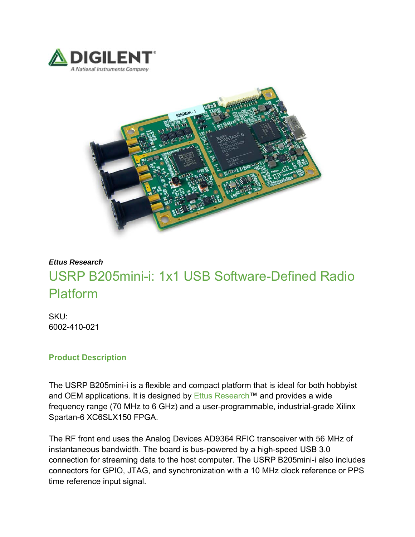



## *Ettus Research* USRP B205mini-i: 1x1 USB Software-Defined Radio Platform

SKU: 6002-410-021

## **Product Description**

The USRP B205mini-i is a flexible and compact platform that is ideal for both hobbyist and OEM applications. It is designed by Ettus Research™ and provides a wide frequency range (70 MHz to 6 GHz) and a user-programmable, industrial-grade Xilinx Spartan-6 XC6SLX150 FPGA.

The RF front end uses the Analog Devices AD9364 RFIC transceiver with 56 MHz of instantaneous bandwidth. The board is bus-powered by a high-speed USB 3.0 connection for streaming data to the host computer. The USRP B205mini-i also includes connectors for GPIO, JTAG, and synchronization with a 10 MHz clock reference or PPS time reference input signal.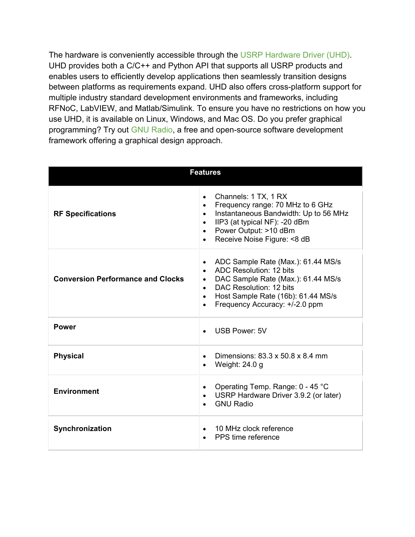The hardware is conveniently accessible through the USRP Hardware Driver (UHD). UHD provides both a C/C++ and Python API that supports all USRP products and enables users to efficiently develop applications then seamlessly transition designs between platforms as requirements expand. UHD also offers cross-platform support for multiple industry standard development environments and frameworks, including RFNoC, LabVIEW, and Matlab/Simulink. To ensure you have no restrictions on how you use UHD, it is available on Linux, Windows, and Mac OS. Do you prefer graphical programming? Try out GNU Radio, a free and open-source software development framework offering a graphical design approach.

| <b>Features</b>                          |                                                                                                                                                                                                                                                                                      |
|------------------------------------------|--------------------------------------------------------------------------------------------------------------------------------------------------------------------------------------------------------------------------------------------------------------------------------------|
| <b>RF Specifications</b>                 | Channels: 1 TX, 1 RX<br>$\bullet$<br>Frequency range: 70 MHz to 6 GHz<br>$\bullet$<br>Instantaneous Bandwidth: Up to 56 MHz<br>$\bullet$<br>IIP3 (at typical NF): -20 dBm<br>$\bullet$<br>Power Output: >10 dBm<br>$\bullet$<br>Receive Noise Figure: <8 dB                          |
| <b>Conversion Performance and Clocks</b> | ADC Sample Rate (Max.): 61.44 MS/s<br>$\bullet$<br>ADC Resolution: 12 bits<br>$\bullet$<br>DAC Sample Rate (Max.): 61.44 MS/s<br>$\bullet$<br>DAC Resolution: 12 bits<br>$\bullet$<br>Host Sample Rate (16b): 61.44 MS/s<br>$\bullet$<br>Frequency Accuracy: +/-2.0 ppm<br>$\bullet$ |
| <b>Power</b>                             | <b>USB Power: 5V</b>                                                                                                                                                                                                                                                                 |
| <b>Physical</b>                          | Dimensions: 83.3 x 50.8 x 8.4 mm<br>Weight: 24.0 g                                                                                                                                                                                                                                   |
| <b>Environment</b>                       | Operating Temp. Range: 0 - 45 °C<br>USRP Hardware Driver 3.9.2 (or later)<br><b>GNU Radio</b>                                                                                                                                                                                        |
| Synchronization                          | 10 MHz clock reference<br>PPS time reference                                                                                                                                                                                                                                         |